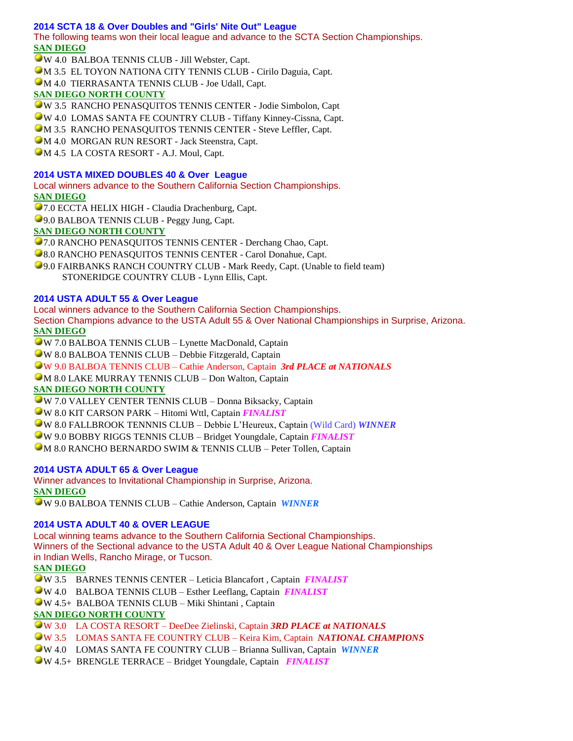## **2014 SCTA 18 & Over Doubles and "Girls' Nite Out" League**

The following teams won their local league and advance to the SCTA Section Championships. **SAN DIEGO**

W 4.0 BALBOA TENNIS CLUB - Jill Webster, Capt. M 3.5 EL TOYON NATIONA CITY TENNIS CLUB - Cirilo Daguia, Capt.

M 4.0 TIERRASANTA TENNIS CLUB - Joe Udall, Capt.

# **SAN DIEGO NORTH COUNTY**

W 3.5 RANCHO PENASQUITOS TENNIS CENTER - Jodie Simbolon, Capt

W 4.0 LOMAS SANTA FE COUNTRY CLUB - Tiffany Kinney-Cissna, Capt.

**M 3.5 RANCHO PENASQUITOS TENNIS CENTER - Steve Leffler, Capt.** 

**M** 4.0 MORGAN RUN RESORT - Jack Steenstra, Capt.

 $\Box$  M 4.5 LA COSTA RESORT - A.J. Moul, Capt.

#### **2014 USTA MIXED DOUBLES 40 & Over League**

Local winners advance to the Southern California Section Championships. **SAN DIEGO**

7.0 ECCTA HELIX HIGH - Claudia Drachenburg, Capt.

9.0 BALBOA TENNIS CLUB - Peggy Jung, Capt.

# **SAN DIEGO NORTH COUNTY**

**• 7.0 RANCHO PENASQUITOS TENNIS CENTER - Derchang Chao, Capt.** 

**8.0 RANCHO PENASQUITOS TENNIS CENTER - Carol Donahue, Capt.** 

9.0 FAIRBANKS RANCH COUNTRY CLUB - Mark Reedy, Capt. (Unable to field team) STONERIDGE COUNTRY CLUB - Lynn Ellis, Capt.

### **2014 USTA ADULT 55 & Over League**

Local winners advance to the Southern California Section Championships. Section Champions advance to the USTA Adult 55 & Over National Championships in Surprise, Arizona. **SAN DIEGO**

W 7.0 BALBOA TENNIS CLUB – Lynette MacDonald, Captain

W 8.0 BALBOA TENNIS CLUB – Debbie Fitzgerald, Captain

W 9.0 BALBOA TENNIS CLUB – Cathie Anderson, Captain *3rd PLACE at NATIONALS*

M 8.0 LAKE MURRAY TENNIS CLUB – Don Walton, Captain

## **SAN DIEGO NORTH COUNTY**

W 7.0 VALLEY CENTER TENNIS CLUB – Donna Biksacky, Captain

W 8.0 KIT CARSON PARK – Hitomi Wttl, Captain *FINALIST*

W 8.0 FALLBROOK TENNNIS CLUB – Debbie L'Heureux, Captain (Wild Card) *WINNER*

W 9.0 BOBBY RIGGS TENNIS CLUB – Bridget Youngdale, Captain *FINALIST*

M 8.0 RANCHO BERNARDO SWIM & TENNIS CLUB – Peter Tollen, Captain

## **2014 USTA ADULT 65 & Over League**

Winner advances to Invitational Championship in Surprise, Arizona. **SAN DIEGO** W 9.0 BALBOA TENNIS CLUB – Cathie Anderson, Captain *WINNER*

## **2014 USTA ADULT 40 & OVER LEAGUE**

Local winning teams advance to the Southern California Sectional Championships. Winners of the Sectional advance to the USTA Adult 40 & Over League National Championships in Indian Wells, Rancho Mirage, or Tucson.

**SAN DIEGO**

W 3.5 BARNES TENNIS CENTER – Leticia Blancafort , Captain *FINALIST*

W 4.0 BALBOA TENNIS CLUB – Esther Leeflang, Captain *FINALIST*

W 4.5+ BALBOA TENNIS CLUB – Miki Shintani , Captain

#### **SAN DIEGO NORTH COUNTY**

W 3.0 LA COSTA RESORT – DeeDee Zielinski, Captain *3RD PLACE at NATIONALS*

W 3.5 LOMAS SANTA FE COUNTRY CLUB – Keira Kim, Captain *NATIONAL CHAMPIONS*

W 4.0 LOMAS SANTA FE COUNTRY CLUB – Brianna Sullivan, Captain *WINNER*

W 4.5+ BRENGLE TERRACE – Bridget Youngdale, Captain *FINALIST*